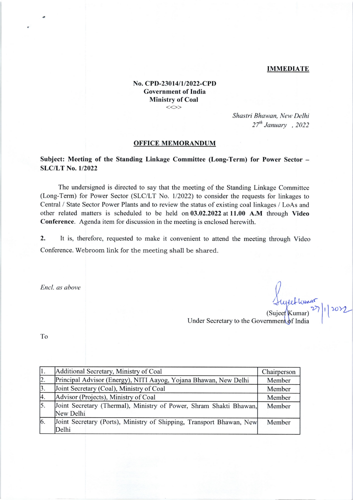### IMMEDIATE

## No. CPD-23014/1/2022-CPD Government of India Ministry of Coal  $\iff$

Shastri Bhawan, New Delhi  $27^{th}$  January , 2022

#### OFFICE MEMORANDUM

# Subject: Meeting of the Standing Linkage Committee (Long-Term) for Power Sector -SLC/LT No. 1/2022

The undersigned is directed to say that the meeting of the Standing Linkage Committee (Long-Term) for Power Sector (SLC/LT No. 1/2022) to consider the requests for linkages to Central / State Sector Power Plants and to review the status of existing coal linkages / LoAs and other related matters is scheduled to be held on 03.02.2022 at 11.00 A.M through Video Conference. Agenda item for discussion in the meeting is enclosed herewith.

2. It is, therefore, requested to make it convenient to attend the meeting through Video Conference. Webroom link for the meeting shall be shared.

Encl. as above

 $\Delta t_1$  $\int_0^1 |f(x)|$ 

Under Secretary to the Government of India (Sujeet Kumar)

To

|                  | Additional Secretary, Ministry of Coal                                          | Chairperson |
|------------------|---------------------------------------------------------------------------------|-------------|
| 2.               | Principal Advisor (Energy), NITI Aayog, Yojana Bhawan, New Delhi                | Member      |
| $\mathbf{3}$ .   | Joint Secretary (Coal), Ministry of Coal                                        | Member      |
| 4.               | Advisor (Projects), Ministry of Coal                                            | Member      |
| $\overline{5}$ . | Joint Secretary (Thermal), Ministry of Power, Shram Shakti Bhawan,<br>New Delhi | Member      |
|                  |                                                                                 |             |
| 16.              | Joint Secretary (Ports), Ministry of Shipping, Transport Bhawan, New<br>Delhi   | Member      |